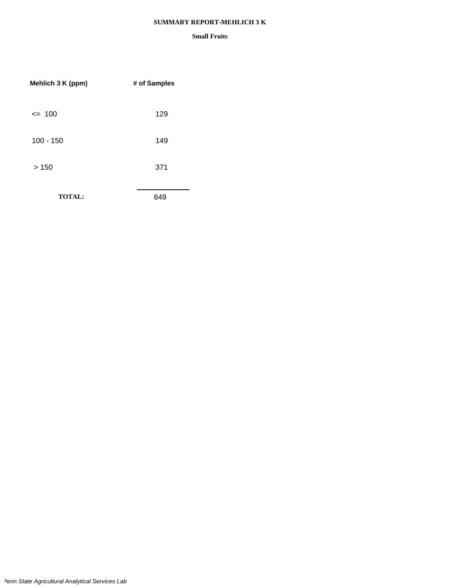#### **SUMMARY REPORT-MEHLICH 3 K**

| Mehlich 3 K (ppm) | # of Samples |
|-------------------|--------------|
| $= 100$           | 129          |
| $100 - 150$       | 149          |
| >150              | 371          |
| <b>TOTAL:</b>     | 649          |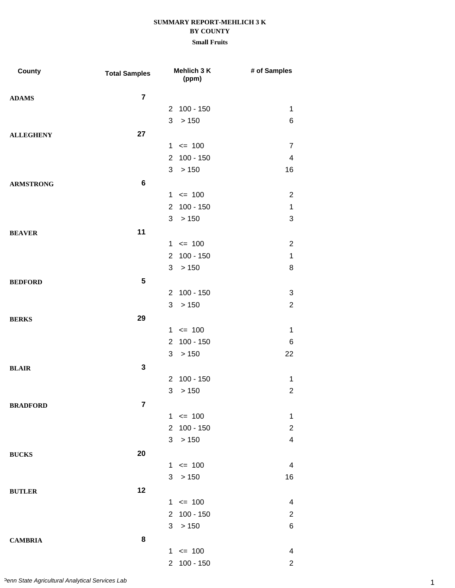| County           | <b>Total Samples</b> | Mehlich 3 K<br>(ppm)          | # of Samples              |
|------------------|----------------------|-------------------------------|---------------------------|
| <b>ADAMS</b>     | $\overline{7}$       |                               |                           |
|                  |                      | 2 100 - 150                   | 1                         |
|                  |                      | 3<br>>150                     | 6                         |
| <b>ALLEGHENY</b> | 27                   |                               |                           |
|                  |                      | $1 \le 100$                   | $\overline{7}$            |
|                  |                      | $100 - 150$<br>$2^{\circ}$    | $\overline{4}$            |
|                  |                      | 3 > 150                       | 16                        |
| <b>ARMSTRONG</b> | $\bf 6$              |                               |                           |
|                  |                      | $1 \le 100$                   | $\overline{2}$            |
|                  |                      | 2 100 - 150                   | $\mathbf 1$               |
|                  |                      | 3<br>>150                     | $\ensuremath{\mathsf{3}}$ |
| <b>BEAVER</b>    | 11                   |                               |                           |
|                  |                      | $1 \le 100$                   | $\overline{2}$            |
|                  |                      | $100 - 150$<br>2 <sup>1</sup> | $\mathbf 1$               |
|                  |                      | 3 > 150                       | 8                         |
| <b>BEDFORD</b>   | 5                    |                               |                           |
|                  |                      | 2 100 - 150                   | 3                         |
|                  |                      | > 150<br>3                    | $\overline{2}$            |
| <b>BERKS</b>     | 29                   |                               |                           |
|                  |                      | $1 \le 100$                   | $\mathbf 1$               |
|                  |                      | $100 - 150$<br>$\overline{2}$ | 6                         |
|                  |                      | > 150<br>3                    | 22                        |
| <b>BLAIR</b>     | $\mathbf 3$          |                               |                           |
|                  |                      | $100 - 150$<br>2              | $\mathbf 1$               |
|                  |                      | 3<br>> 150                    | $\mathbf 2$               |
| <b>BRADFORD</b>  | 7                    |                               |                           |
|                  |                      | $1 \le 100$                   | 1                         |
|                  |                      | $100 - 150$<br>$\overline{2}$ | $\overline{c}$            |
|                  |                      | >150<br>3                     | $\overline{\mathbf{4}}$   |
| <b>BUCKS</b>     | 20                   |                               |                           |
|                  |                      | $1 \le 100$                   | 4                         |
|                  |                      | 3 > 150                       | 16                        |
| <b>BUTLER</b>    | 12                   |                               |                           |
|                  |                      | $1 \le 100$                   | 4                         |
|                  |                      | 2 100 - 150                   | $\overline{2}$            |
|                  |                      | 3 > 150                       | 6                         |
| <b>CAMBRIA</b>   | 8                    |                               |                           |
|                  |                      | $1 \le 100$                   | 4                         |
|                  |                      | 2 100 - 150                   | $\overline{2}$            |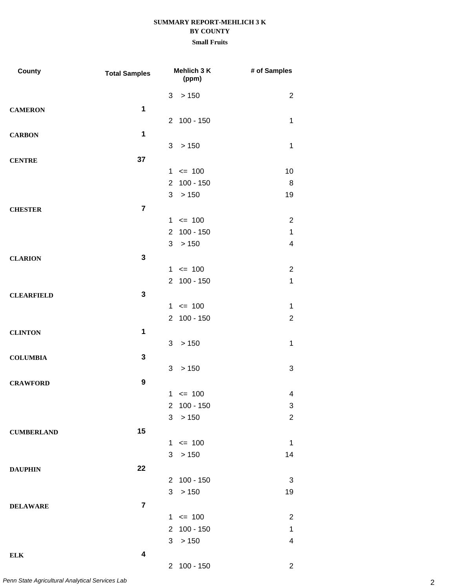## **Small Fruits**

| <b>County</b>     | <b>Total Samples</b>    | Mehlich 3 K<br>(ppm)                | # of Samples            |
|-------------------|-------------------------|-------------------------------------|-------------------------|
|                   |                         | > 150<br>3                          | $\overline{2}$          |
| <b>CAMERON</b>    | 1                       |                                     |                         |
|                   |                         | 2 100 - 150                         | 1                       |
| <b>CARBON</b>     | 1                       |                                     |                         |
|                   |                         | 3 > 150                             | $\mathbf 1$             |
| <b>CENTRE</b>     | 37                      |                                     |                         |
|                   |                         | $1 \le 100$                         | 10                      |
|                   |                         | $100 - 150$<br>$\overline{2}$       | 8                       |
|                   |                         | 3<br>>150                           | 19                      |
| <b>CHESTER</b>    | $\overline{7}$          |                                     |                         |
|                   |                         | $1 \le 100$                         | $\overline{2}$          |
|                   |                         | $100 - 150$<br>$\mathbf{2}^{\circ}$ | 1                       |
|                   |                         | 3<br>>150                           | $\overline{\mathbf{4}}$ |
| <b>CLARION</b>    | 3                       |                                     |                         |
|                   |                         | $1 \le 100$                         | $\overline{2}$          |
|                   |                         | 2 100 - 150                         | $\mathbf{1}$            |
| <b>CLEARFIELD</b> | $\mathbf{3}$            |                                     |                         |
|                   |                         | $1 \le 100$                         | $\mathbf 1$             |
|                   |                         | 2 100 - 150                         | $\overline{2}$          |
| <b>CLINTON</b>    | 1                       |                                     |                         |
|                   |                         | > 150<br>3                          | 1                       |
| <b>COLUMBIA</b>   | $\mathbf 3$             |                                     |                         |
|                   |                         | 3<br>>150                           | 3                       |
| <b>CRAWFORD</b>   | $\boldsymbol{9}$        |                                     |                         |
|                   |                         | $1 \le 100$                         | 4                       |
|                   |                         | 2 100 - 150                         | 3                       |
|                   |                         | 3<br>> 150                          | $\overline{c}$          |
| <b>CUMBERLAND</b> | 15                      |                                     |                         |
|                   |                         | $1 \le 100$                         | 1                       |
|                   |                         | 3<br>>150                           | 14                      |
| <b>DAUPHIN</b>    | 22                      |                                     |                         |
|                   |                         | 2 100 - 150                         | 3                       |
|                   |                         | > 150<br>3                          | 19                      |
| <b>DELAWARE</b>   | $\overline{7}$          |                                     |                         |
|                   |                         | $1 \le 100$                         | $\overline{2}$          |
|                   |                         | 2 100 - 150                         | $\mathbf 1$             |
|                   |                         | 3 > 150                             | 4                       |
| <b>ELK</b>        | $\overline{\mathbf{4}}$ |                                     |                         |
|                   |                         | 2 100 - 150                         | $\overline{2}$          |

2 *Penn State Agricultural Analytical Services Lab*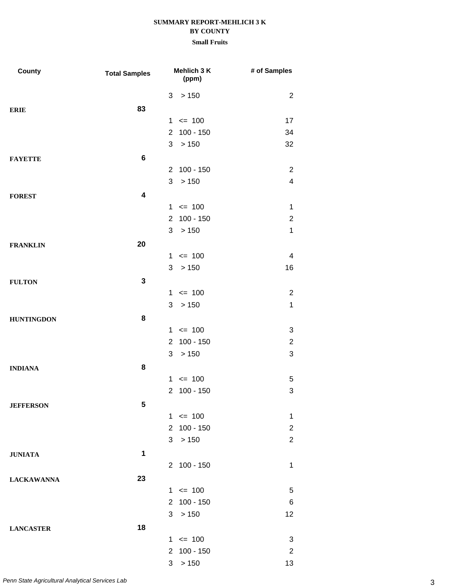| County            | <b>Total Samples</b>    | Mehlich 3 K<br>(ppm)          | # of Samples              |
|-------------------|-------------------------|-------------------------------|---------------------------|
|                   |                         | > 150<br>3                    | $\overline{2}$            |
| <b>ERIE</b>       | 83                      |                               |                           |
|                   |                         | $= 100$<br>$\mathbf 1$        | 17                        |
|                   |                         | $100 - 150$<br>$\overline{2}$ | 34                        |
|                   |                         | 3<br>>150                     | 32                        |
| <b>FAYETTE</b>    | $\bf 6$                 |                               |                           |
|                   |                         | $100 - 150$<br>$\overline{2}$ | $\overline{2}$            |
|                   |                         | > 150<br>3                    | $\overline{\mathbf{4}}$   |
| <b>FOREST</b>     | $\overline{\mathbf{4}}$ |                               |                           |
|                   |                         | $1 \le 100$                   | 1                         |
|                   |                         | $100 - 150$<br>$\overline{2}$ | $\overline{2}$            |
|                   |                         | > 150<br>3                    | $\mathbf 1$               |
| <b>FRANKLIN</b>   | 20                      |                               |                           |
|                   |                         | $= 100$<br>$\mathbf 1$        | 4                         |
|                   |                         | 3<br>>150                     | 16                        |
| <b>FULTON</b>     | $\mathbf{3}$            |                               |                           |
|                   |                         | $1 \le 100$                   | $\overline{2}$            |
|                   |                         | 3 > 150                       | $\mathbf 1$               |
| <b>HUNTINGDON</b> | 8                       |                               |                           |
|                   |                         | $= 100$<br>1                  | 3                         |
|                   |                         | $100 - 150$<br>$\overline{2}$ | $\overline{2}$            |
|                   |                         | >150<br>3                     | $\ensuremath{\mathsf{3}}$ |
| <b>INDIANA</b>    | 8                       |                               |                           |
|                   |                         | $= 100$<br>1                  | 5                         |
|                   |                         | $100 - 150$<br>$\overline{2}$ | 3                         |
| <b>JEFFERSON</b>  | 5                       |                               |                           |
|                   |                         | $1 \le 100$                   | 1                         |
|                   |                         | 2 100 - 150                   | $\overline{2}$            |
|                   |                         | >150<br>3 <sup>1</sup>        | $\overline{2}$            |
| <b>JUNIATA</b>    | 1                       |                               |                           |
|                   |                         | 2 100 - 150                   | $\mathbf 1$               |
| <b>LACKAWANNA</b> | 23                      |                               |                           |
|                   |                         | $1 \le 100$                   | 5                         |
|                   |                         | 2 100 - 150                   | 6                         |
|                   |                         | 3 > 150                       | 12                        |
| <b>LANCASTER</b>  | 18                      |                               |                           |
|                   |                         | $1 \le 100$                   | 3                         |
|                   |                         | 2 100 - 150                   | $\overline{2}$            |
|                   |                         | 3 > 150                       | 13                        |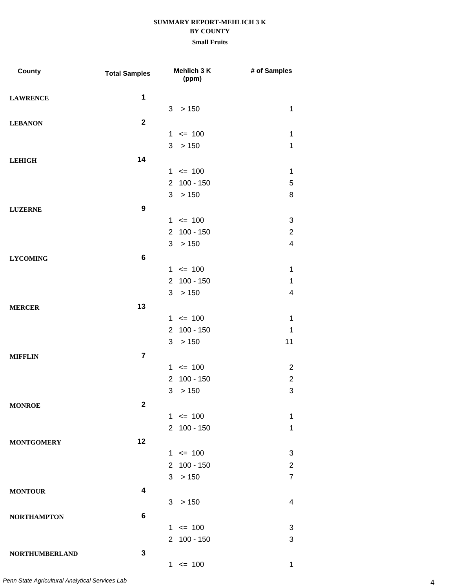### **Small Fruits**

| County                | <b>Total Samples</b> |                | Mehlich 3 K<br>(ppm) | # of Samples   |
|-----------------------|----------------------|----------------|----------------------|----------------|
| <b>LAWRENCE</b>       | $\mathbf 1$          |                |                      |                |
|                       |                      | 3              | > 150                | $\mathbf{1}$   |
| <b>LEBANON</b>        | $\mathbf 2$          |                |                      |                |
|                       |                      | $\mathbf{1}$   | $= 100$              | $\mathbf 1$    |
|                       |                      | 3              | > 150                | $\mathbf 1$    |
| <b>LEHIGH</b>         | 14                   |                |                      |                |
|                       |                      |                | $1 \le 100$          | $\mathbf{1}$   |
|                       |                      | $\overline{2}$ | $100 - 150$          | 5              |
|                       |                      | 3              | > 150                | 8              |
| <b>LUZERNE</b>        | $\boldsymbol{9}$     |                |                      |                |
|                       |                      |                | $1 \le 100$          | 3              |
|                       |                      | $\overline{2}$ | $100 - 150$          | $\overline{c}$ |
|                       |                      | 3              | > 150                | 4              |
| <b>LYCOMING</b>       | 6                    |                |                      |                |
|                       |                      |                | $1 \le 100$          | $\mathbf 1$    |
|                       |                      | $\overline{2}$ | $100 - 150$          | $\mathbf 1$    |
|                       |                      | 3              | > 150                | 4              |
| <b>MERCER</b>         | 13                   |                |                      |                |
|                       |                      |                | $1 \le 100$          | $\mathbf 1$    |
|                       |                      | $\overline{2}$ | $100 - 150$          | $\mathbf 1$    |
|                       |                      | 3              | > 150                | 11             |
| <b>MIFFLIN</b>        | $\overline{7}$       |                |                      |                |
|                       |                      |                | $1 \le 100$          | $\overline{2}$ |
|                       |                      | 2              | $100 - 150$          | $\overline{c}$ |
|                       |                      | 3              | $>150$               | 3              |
| <b>MONROE</b>         | $\mathbf 2$          |                |                      |                |
|                       |                      |                | $1 \le 100$          | $\mathbf{1}$   |
|                       |                      |                | 2 100 - 150          | $\mathbf 1$    |
| <b>MONTGOMERY</b>     | 12                   |                |                      |                |
|                       |                      |                | $1 \le 100$          | 3              |
|                       |                      |                | 2 100 - 150          | $\overline{2}$ |
|                       |                      |                | 3 > 150              | 7              |
| <b>MONTOUR</b>        | 4                    |                |                      |                |
|                       |                      |                | 3 > 150              | 4              |
| <b>NORTHAMPTON</b>    | 6                    |                |                      |                |
|                       |                      |                | $1 \le 100$          | 3              |
|                       |                      |                | 2 100 - 150          | 3              |
| <b>NORTHUMBERLAND</b> | 3                    |                |                      |                |
|                       |                      |                | $1 \le 100$          | 1              |

4 *Penn State Agricultural Analytical Services Lab*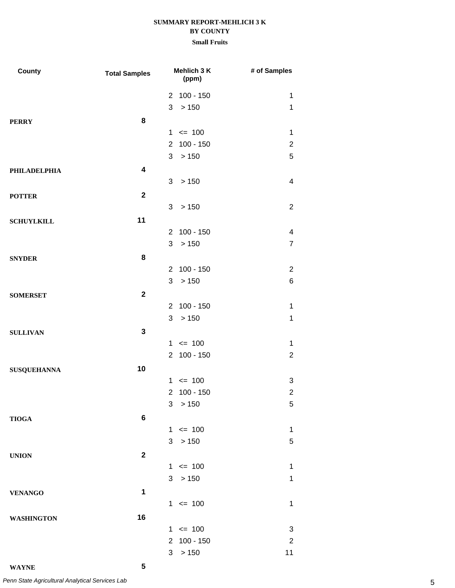| County             | <b>Total Samples</b>    | Mehlich 3 K<br>(ppm)   | # of Samples   |
|--------------------|-------------------------|------------------------|----------------|
|                    |                         | 2 100 - 150            | 1              |
|                    |                         | 3 > 150                | $\mathbf{1}$   |
| <b>PERRY</b>       | 8                       |                        |                |
|                    |                         | $1 \le 100$            | $\mathbf 1$    |
|                    |                         | 2 100 - 150            | $\overline{2}$ |
|                    |                         | >150<br>3 <sup>1</sup> | 5              |
| PHILADELPHIA       | $\overline{\mathbf{4}}$ |                        |                |
|                    |                         | > 150<br>3             | 4              |
| <b>POTTER</b>      | $\mathbf{2}$            |                        |                |
|                    |                         | 3 > 150                | $\overline{2}$ |
| <b>SCHUYLKILL</b>  | 11                      |                        |                |
|                    |                         | 2 100 - 150            | 4              |
|                    |                         | 3<br>>150              | $\overline{7}$ |
| <b>SNYDER</b>      | 8                       |                        |                |
|                    |                         | 2 100 - 150            | $\overline{2}$ |
|                    |                         | > 150<br>3             | 6              |
| <b>SOMERSET</b>    | $\overline{2}$          |                        |                |
|                    |                         | 2 100 - 150            | $\mathbf 1$    |
|                    |                         | >150<br>3              | $\mathbf 1$    |
| <b>SULLIVAN</b>    | $\mathbf{3}$            |                        |                |
|                    |                         | $1 \le 100$            | 1              |
|                    |                         | 2 100 - 150            | $\overline{2}$ |
| <b>SUSQUEHANNA</b> | 10                      |                        |                |
|                    |                         | $1 \le 100$            | 3              |
|                    |                         | 2 100 - 150            | $\overline{2}$ |
|                    |                         | 3 > 150                | $\,$ 5 $\,$    |
| <b>TIOGA</b>       | $\bf 6$                 |                        |                |
|                    |                         | $1 \le 100$            | 1              |
|                    |                         | >150<br>3              | 5              |
| <b>UNION</b>       | $\mathbf{2}$            |                        |                |
|                    |                         | $1 \le 100$            | 1              |
|                    |                         | >150<br>3              | $\mathbf 1$    |
| <b>VENANGO</b>     | $\mathbf 1$             |                        |                |
|                    |                         | $1 \le 100$            | $\mathbf 1$    |
| <b>WASHINGTON</b>  | 16                      |                        |                |
|                    |                         | $1 \le 100$            | 3              |
|                    |                         | 2 100 - 150            | $\overline{2}$ |
|                    |                         | >150<br>3              | 11             |
| <b>WAYNE</b>       | 5                       |                        |                |